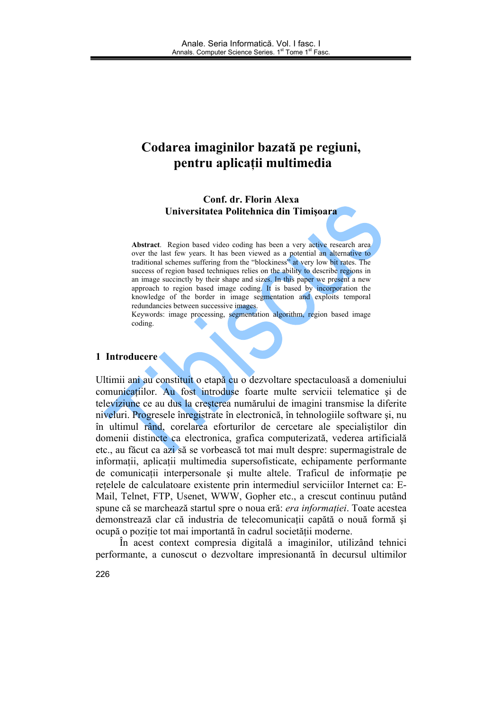# Codarea imaginilor bazată pe regiuni, pentru aplicații multimedia

Conf. dr. Florin Alexa Universitatea Politehnica din Timisoara

Abstract. Region based video coding has been a very active research area over the last few years. It has been viewed as a potential an alternative to traditional schemes suffering from the "blockiness" at very low bit rates. The success of region based techniques relies on the ability to describe regions in an image succinctly by their shape and sizes. In this paper we present a new approach to region based image coding. It is based by incorporation the knowledge of the border in image segmentation and exploits temporal redundancies between successive images.

Keywords: image processing, segmentation algorithm, region based image coding.

#### 1 Introducere

Ultimii ani au constituit o etapă cu o dezvoltare spectaculoasă a domeniului comunicațiilor. Au fost introduse foarte multe servicii telematice și de televiziune ce au dus la cresterea numărului de imagini transmise la diferite niveluri. Progresele înregistrate în electronică, în tehnologiile software și, nu în ultimul rând, corelarea eforturilor de cercetare ale specialistilor din domenii distincte ca electronica, grafica computerizată, vederea artificială etc., au făcut ca azi să se vorbească tot mai mult despre: supermagistrale de informații, aplicații multimedia supersofisticate, echipamente performante de comunicații interpersonale și multe altele. Traficul de informație pe retelele de calculatoare existente prin intermediul serviciilor Internet ca: E-Mail, Telnet, FTP, Usenet, WWW, Gopher etc., a crescut continuu putând spune că se marchează startul spre o noua eră: era informației. Toate acestea demonstrează clar că industria de telecomunicații capătă o nouă formă și ocupă o poziție tot mai importantă în cadrul societății moderne.

În acest context compresia digitală a imaginilor, utilizând tehnici performante, a cunoscut o dezvoltare impresionantă în decursul ultimilor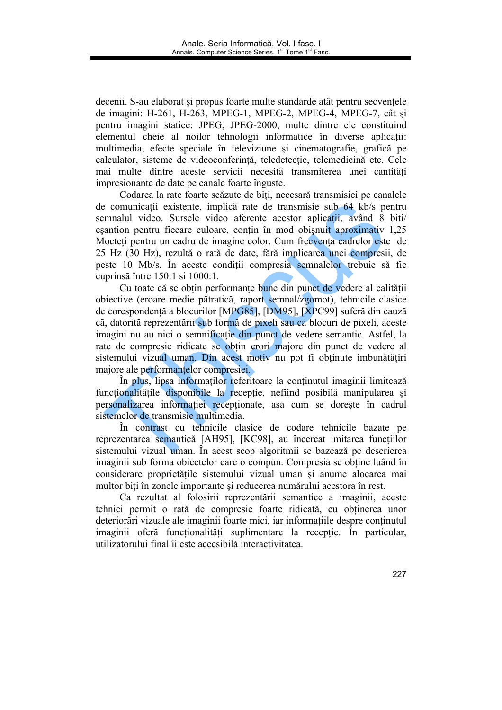decenii. S-au elaborat și propus foarte multe standarde atât pentru secvențele de imagini: H-261, H-263, MPEG-1, MPEG-2, MPEG-4, MPEG-7, cât și pentru imagini statice: JPEG, JPEG-2000, multe dintre ele constituind elementul cheie al noilor tehnologii informatice în diverse aplicatii: multimedia, efecte speciale în televiziune și cinematografie, grafică pe calculator, sisteme de videoconferință, teledetecție, telemedicină etc. Cele mai multe dintre aceste servicii necesită transmiterea unei cantităti impresionante de date pe canale foarte înguste.

Codarea la rate foarte scăzute de biți, necesară transmisiei pe canalele de comunicații existente, implică rate de transmisie sub 64 kb/s pentru semnalul video. Sursele video aferente acestor aplicatii, având 8 biți/ esantion pentru fiecare culoare, contin în mod obișnuit aproximativ 1,25 Mocteti pentru un cadru de imagine color. Cum frecventa cadrelor este de 25 Hz (30 Hz), rezultă o rată de date, fără implicarea unei compresii, de peste 10 Mb/s. În aceste conditii compresia semnalelor trebuie să fie cuprinsă între 150:1 si 1000:1.

Cu toate că se obțin performanțe bune din punct de vedere al calității obiective (eroare medie pătratică, raport semnal/zgomot), tehnicile clasice de corespondentă a blocurilor [MPG85], [DM95], [XPC99] suferă din cauză că, datorită reprezentării sub formă de pixeli sau ca blocuri de pixeli, aceste imagini nu au nici o semnificație din punct de vedere semantic. Astfel, la rate de compresie ridicate se obtin erori majore din punct de vedere al sistemului vizual uman. Din acest motiv nu pot fi obtinute îmbunătătiri maiore ale performantelor compresiei.

În plus, lipsa informatilor referitoare la continutul imaginii limitează funcționalitățile disponibile la recepție, nefiind posibilă manipularea si personalizarea informatiei receptionate, asa cum se doreste în cadrul sistemelor de transmisie multimedia.

În contrast cu tehnicile clasice de codare tehnicile bazate pe reprezentarea semantică [AH95], [KC98], au încercat imitarea funcțiilor sistemului vizual uman. În acest scop algoritmii se bazează pe descrierea imaginii sub forma obiectelor care o compun. Compresia se obține luând în considerare proprietățile sistemului vizual uman și anume alocarea mai multor biți în zonele importante și reducerea numărului acestora în rest.

Ca rezultat al folosirii reprezentării semantice a imaginii, aceste tehnici permit o rată de compresie foarte ridicată, cu obtinerea unor deteriorări vizuale ale imaginii foarte mici, iar informațiile despre conținutul imaginii oferă functionalități suplimentare la receptie. În particular, utilizatorului final îi este accesibilă interactivitatea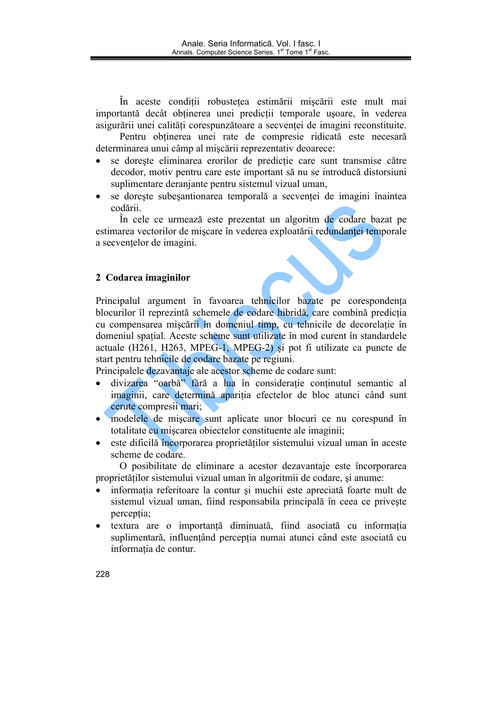În aceste condiții robustețea estimării mișcării este mult mai importantă decât obtinerea unei predicții temporale usoare, în vederea asigurării unei calităti corespunzătoare a secventei de imagini reconstituite.

Pentru obtinerea unei rate de compresie ridicată este necesară determinarea unui câmp al mișcării reprezentativ deoarece:

- se dorește eliminarea erorilor de predicție care sunt transmise către decodor, motiv pentru care este important să nu se introducă distorsiuni suplimentare deraniante pentru sistemul vizual uman,
- se doreste subesantionarea temporală a secventei de imagini înaintea codării.

În cele ce urmează este prezentat un algoritm de codare bazat pe estimarea vectorilor de miscare în vederea exploatării redundantei temporale a secventelor de imagini.

# 2 Codarea imaginilor

Principalul argument în favoarea tehnicilor bazate pe corespondenta blocurilor îl reprezintă schemele de codare hibridă, care combină predicția cu compensarea mișcării în domeniul timp, cu tehnicile de decorelație în domeniul spatial. Aceste scheme sunt utilizate în mod curent în standardele actuale (H261, H263, MPEG-1, MPEG-2) si pot fi utilizate ca puncte de start pentru tehnicile de codare bazate pe regiuni.

Principalele dezavantaje ale acestor scheme de codare sunt:

- divizarea "oarbă" fără a lua în consideratie continutul semantic al  $\bullet$ imaginii, care determină aparitia efectelor de bloc atunci când sunt cerute compresii mari;
- modelele de miscare sunt aplicate unor blocuri ce nu corespund în totalitate cu miscarea obiectelor constituente ale imaginii;
- este dificilă încorporarea proprietăților sistemului vizual uman în aceste scheme de codare.

O posibilitate de eliminare a acestor dezavantaje este încorporarea proprietătilor sistemului vizual uman în algoritmii de codare, și anume:

- informatia referitoare la contur si muchii este apreciată foarte mult de sistemul vizual uman, fiind responsabila principală în ceea ce priveste perceptia:
- textura are o importanță diminuată, fiind asociată cu informația  $\bullet$ suplimentară, influențând percepția numai atunci când este asociată cu informatia de contur.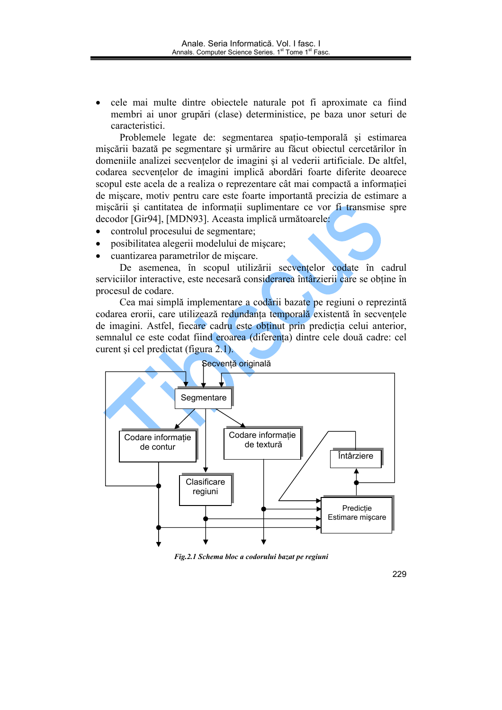cele mai multe dintre objectele naturale pot fi aproximate ca fiind membri ai unor grupări (clase) deterministice, pe baza unor seturi de caracteristici.

Problemele legate de: segmentarea spatio-temporală și estimarea miscării bazată pe segmentare și urmărire au făcut obiectul cercetărilor în domeniile analizei secvențelor de imagini și al vederii artificiale. De altfel, codarea secventelor de imagini implică abordări foarte diferite deoarece scopul este acela de a realiza o reprezentare cât mai compactă a informatiei de miscare, motiv pentru care este foarte importantă precizia de estimare a mișcării și cantitatea de informații suplimentare ce vor fi transmise spre decodor [Gir94], [MDN93]. Aceasta implică următoarele:

- controlul procesului de segmentare:  $\bullet$
- $\bullet$ posibilitatea alegerii modelului de mișcare;
- cuantizarea parametrilor de miscare.

De asemenea, în scopul utilizării secventelor codate în cadrul serviciilor interactive, este necesară considerarea întârzierii care se obtine în procesul de codare.

Cea mai simplă implementare a codării bazate pe regiuni o reprezintă codarea erorii, care utilizează redundanta temporală existentă în secventele de imagini. Astfel, fiecare cadru este obținut prin predicția celui anterior, semnalul ce este codat fiind eroarea (diferenta) dintre cele două cadre: cel curent și cel predictat (figura 2.1).



Fig.2.1 Schema bloc a codorului bazat pe regiuni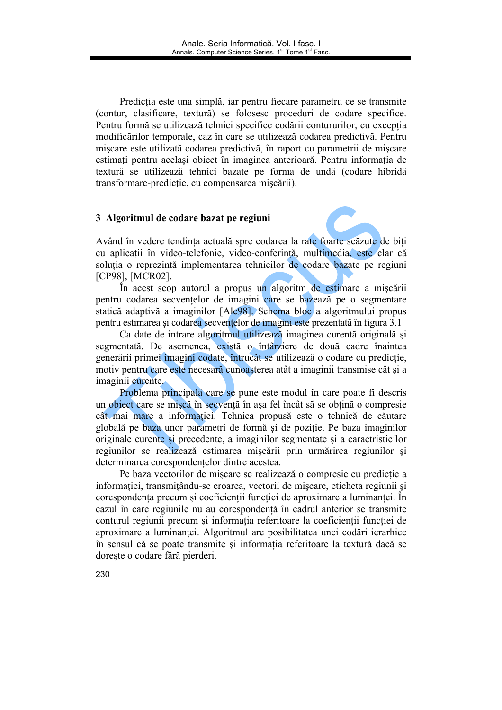Predicția este una simplă, iar pentru fiecare parametru ce se transmite (contur, clasificare, textură) se folosesc proceduri de codare specifice. Pentru formă se utilizează tehnici specifice codării contururilor, cu exceptia modificărilor temporale, caz în care se utilizează codarea predictivă. Pentru miscare este utilizată codarea predictivă, în raport cu parametrii de miscare estimați pentru același obiect în imaginea anterioară. Pentru informația de textură se utilizează tehnici bazate pe forma de undă (codare hibridă transformare-predicție, cu compensarea mișcării).

#### 3 Algoritmul de codare bazat pe regiuni

Având în vedere tendința actuală spre codarea la rate foarte scăzute de biți cu aplicații în video-telefonie, video-conferință, multimedia, este clar că solutia o reprezintă implementarea tehnicilor de codare bazate pe regiuni [CP98], [MCR02].

În acest scop autorul a propus un algoritm de estimare a mișcării pentru codarea secventelor de imagini care se bazează pe o segmentare statică adaptivă a imaginilor [Ale98]. Schema bloc a algoritmului propus pentru estimarea și codarea secvențelor de imagini este prezentată în figura 3.1

Ca date de intrare algoritmul utilizează imaginea curentă originală și segmentată. De asemenea, există o întârziere de două cadre înaintea generării primei imagini codate, întrucât se utilizează o codare cu predicție, motiv pentru care este necesară cunoașterea atât a imaginii transmise cât și a imaginii curente.

Problema principală care se pune este modul în care poate fi descris un object care se miscă în secvență în asa fel încât să se obțină o compresie cât mai mare a informației. Tehnica propusă este o tehnică de căutare globală pe baza unor parametri de formă și de poziție. Pe baza imaginilor originale curente si precedente, a imaginilor segmentate si a caractristicilor regiunilor se realizează estimarea miscării prin urmărirea regiunilor și determinarea corespondențelor dintre acestea.

Pe baza vectorilor de miscare se realizează o compresie cu predicție a informatiei, transmitându-se eroarea, vectorii de miscare, eticheta regiunii și corespondenta precum si coeficientii functiei de aproximare a luminantei. În cazul în care regiunile nu au corespondență în cadrul anterior se transmite conturul regiunii precum și informația referitoare la coeficienții funcției de aproximare a luminantei. Algoritmul are posibilitatea unei codări ierarhice în sensul că se poate transmite și informația referitoare la textură dacă se doreste o codare fără pierderi.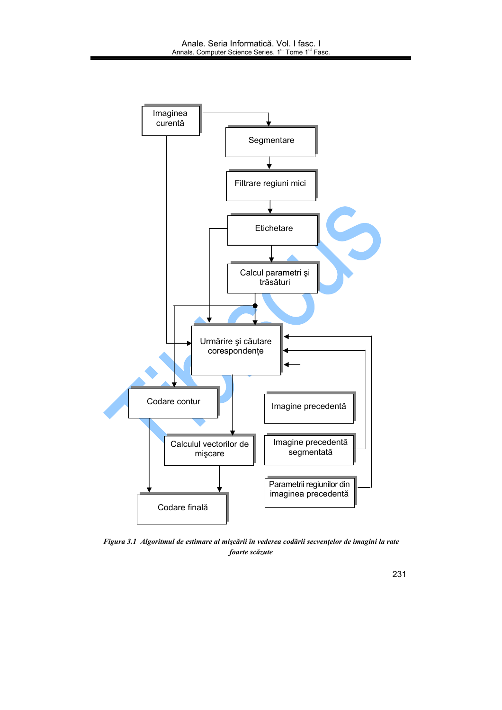

Figura 3.1 Algoritmul de estimare al mișcării în vederea codării secvențelor de imagini la rate foarte scăzute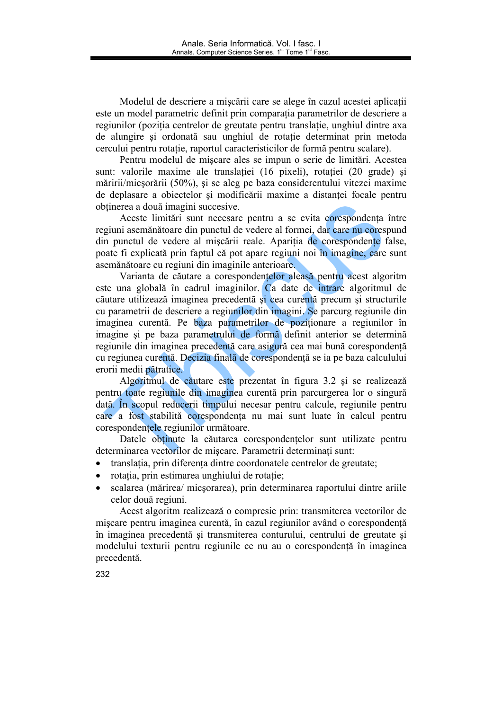Modelul de descriere a mișcării care se alege în cazul acestei aplicații este un model parametric definit prin comparatia parametrilor de descriere a regiunilor (pozitia centrelor de greutate pentru translatie, unghiul dintre axa de alungire și ordonată sau unghiul de rotatie determinat prin metoda cercului pentru rotație, raportul caracteristicilor de formă pentru scalare).

Pentru modelul de mișcare ales se impun o serie de limitări. Acestea sunt: valorile maxime ale translatiei (16 pixeli), rotatiei (20 grade) și măririi/micșorării (50%), și se aleg pe baza considerentului vitezei maxime de deplasare a objectelor și modificării maxime a distantei focale pentru obținerea a două imagini succesive.

Aceste limitări sunt necesare pentru a se evita corespondența între regiuni asemănătoare din punctul de vedere al formei, dar care nu corespund din punctul de vedere al mișcării reale. Apariția de corespondențe false, poate fi explicată prin faptul că pot apare regiuni noi în imagine, care sunt asemănătoare cu regiuni din imaginile anterioare.

Varianta de căutare a corespondențelor aleasă pentru acest algoritm este una globală în cadrul imaginilor. Ca date de intrare algoritmul de căutare utilizează imaginea precedentă și cea curentă precum și structurile cu parametrii de descriere a regiunilor din imagini. Se parcurg regiunile din imaginea curentă. Pe baza parametrilor de poziționare a regiunilor în imagine și pe baza parametrului de formă definit anterior se determină regiunile din imaginea precedentă care asigură cea mai bună corespondentă cu regiunea curentă. Decizia finală de corespondență se ia pe baza calculului erorii medii pătratice.

Algoritmul de căutare este prezentat în figura 3.2 și se realizează pentru toate regiunile din imaginea curentă prin parcurgerea lor o singură dată. În scopul reducerii timpului necesar pentru calcule, regiunile pentru care a fost stabilită corespondența nu mai sunt luate în calcul pentru corespondentele regiunilor următoare.

Datele obtinute la căutarea corespondențelor sunt utilizate pentru determinarea vectorilor de miscare. Parametrii determinati sunt:

- translația, prin diferența dintre coordonatele centrelor de greutate;
- rotatia, prin estimarea unghiului de rotatie:
- scalarea (mărirea/ micsorarea), prin determinarea raportului dintre ariile  $\bullet$ celor două regiuni.

Acest algoritm realizează o compresie prin: transmiterea vectorilor de miscare pentru imaginea curentă, în cazul regiunilor având o corespondență în imaginea precedentă și transmiterea conturului, centrului de greutate și modelului texturii pentru regiunile ce nu au o corespondență în imaginea precedentă.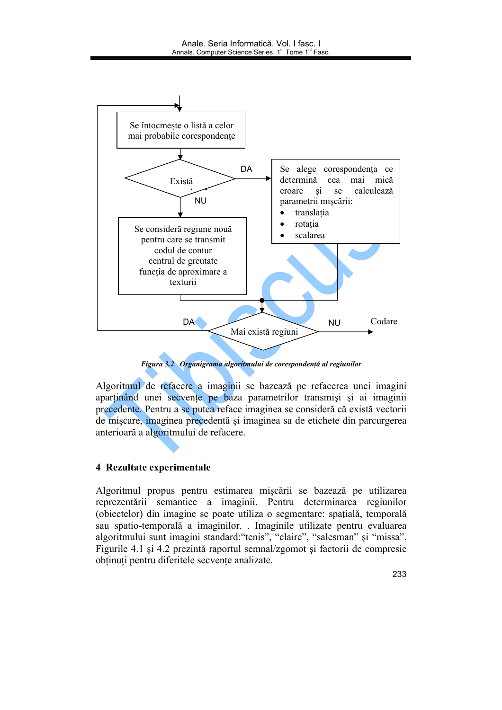

Figura 3.2 Organigrama algoritmului de corespondență al regiunilor

Algoritmul de refacere a imaginii se bazează pe refacerea unei imagini apartinând unei secvențe pe baza parametrilor transmiși și ai imaginii precedente. Pentru a se putea reface imaginea se consideră că există vectorii de miscare, imaginea precedentă și imaginea sa de etichete din parcurgerea anterioară a algoritmului de refacere.

# 4 Rezultate experimentale

Algoritmul propus pentru estimarea mișcării se bazează pe utilizarea reprezentării semantice a imaginii. Pentru determinarea regiunilor (obiectelor) din imagine se poate utiliza o segmentare: spațială, temporală sau spatio-temporală a imaginilor. Imaginile utilizate pentru evaluarea algoritmului sunt imagini standard:"tenis", "claire", "salesman" și "missa". Figurile 4.1 și 4.2 prezintă raportul semnal/zgomot și factorii de compresie obtinuti pentru diferitele secvente analizate.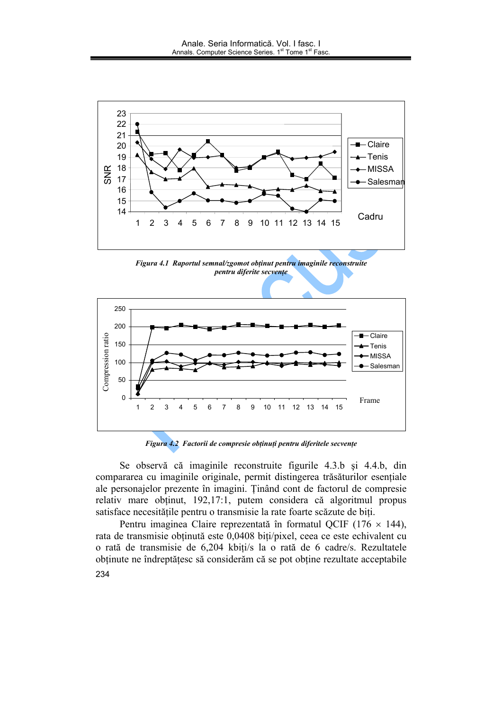

Figura 4.1 Raportul semnal/zgomot obținut pentru imaginile reconstruite pentru diferite secvențe



Figura 4.2 Factorii de compresie obținuți pentru diferitele secvențe

Se observă că imaginile reconstruite figurile 4.3.b și 4.4.b, din compararea cu imaginile originale, permit distingerea trăsăturilor esențiale ale personajelor prezente în imagini. Ținând cont de factorul de compresie relativ mare obținut, 192,17:1, putem considera că algoritmul propus satisface necesitățile pentru o transmisie la rate foarte scăzute de biți.

Pentru imaginea Claire reprezentată în formatul QCIF (176  $\times$  144), rata de transmisie obținută este 0,0408 biți/pixel, ceea ce este echivalent cu o rată de transmisie de 6,204 kbiți/s la o rată de 6 cadre/s. Rezultatele obținute ne îndreptățesc să considerăm că se pot obține rezultate acceptabile 234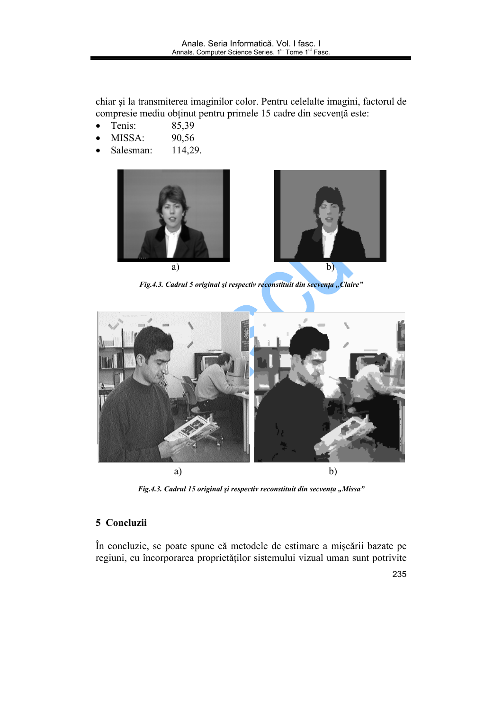chiar și la transmiterea imaginilor color. Pentru celelalte imagini, factorul de compresie mediu obținut pentru primele 15 cadre din secvență este:

- Tenis: 85,39  $\bullet$
- MISSA: 90,56  $\bullet$
- Salesman: 114,29.



Fig.4.3. Cadrul 5 original și respectiv reconstituit din secvența "Claire"



Fig.4.3. Cadrul 15 original și respectiv reconstituit din secvența "Missa"

# 5 Concluzii

În concluzie, se poate spune că metodele de estimare a mișcării bazate pe regiuni, cu încorporarea proprietăților sistemului vizual uman sunt potrivite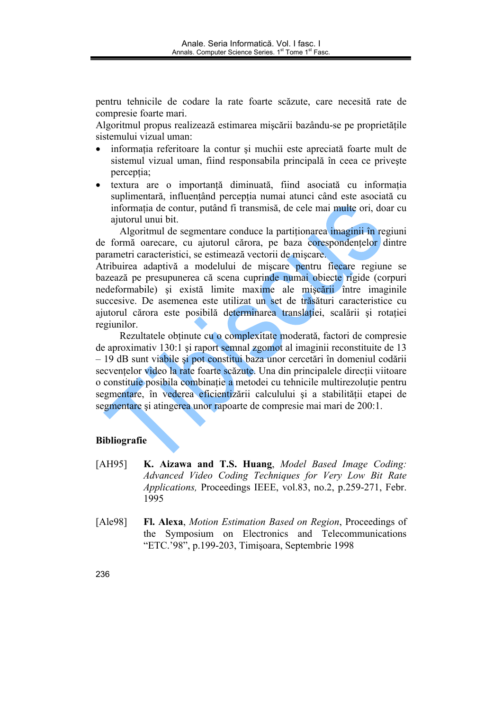pentru tehnicile de codare la rate foarte scăzute, care necesită rate de compresie foarte mari.

Algoritmul propus realizează estimarea miscării bazându-se pe proprietătile sistemului vizual uman:

- informatia referitoare la contur si muchii este apreciată foarte mult de  $\bullet$ sistemul vizual uman, fiind responsabila principală în ceea ce privește perceptia;
- textura are o importanță diminuată, fiind asociată cu informația  $\bullet$ suplimentară, influențând percepția numai atunci când este asociată cu informatia de contur, putând fi transmisă, de cele mai multe ori, doar cu ajutorul unui bit.

Algoritmul de segmentare conduce la partitionarea imaginii în regiuni de formă oarecare, cu ajutorul cărora, pe baza corespondentelor dintre parametri caracteristici, se estimează vectorii de miscare.

Atribuirea adaptivă a modelului de mișcare pentru fiecare regiune se bazează pe presupunerea că scena cuprinde numai obiecte rigide (corpuri nedeformabile) și există limite maxime ale mișcării între imaginile succesive. De asemenea este utilizat un set de trăsături caracteristice cu ajutorul cărora este posibilă determinarea translatiei, scalării și rotației regiunilor.

Rezultatele obținute cu o complexitate moderată, factori de compresie de aproximativ 130:1 si raport semnal zgomot al imaginii reconstituite de 13 - 19 dB sunt viabile și pot constitui baza unor cercetări în domeniul codării secventelor video la rate foarte scăzute. Una din principalele direcții viitoare o constituie posibila combinație a metodei cu tehnicile multirezoluție pentru segmentare, în vederea eficientizării calculului și a stabilității etapei de segmentare și atingerea unor rapoarte de compresie mai mari de 200:1.

### **Bibliografie**

- K. Aizawa and T.S. Huang, Model Based Image Coding:  $[AH95]$ Advanced Video Coding Techniques for Very Low Bit Rate *Applications*, Proceedings IEEE, vol.83, no.2, p.259-271, Febr. 1995
- [Ale98] Fl. Alexa, *Motion Estimation Based on Region*, Proceedings of the Symposium on Electronics and Telecommunications "ETC.'98", p.199-203, Timișoara, Septembrie 1998

236